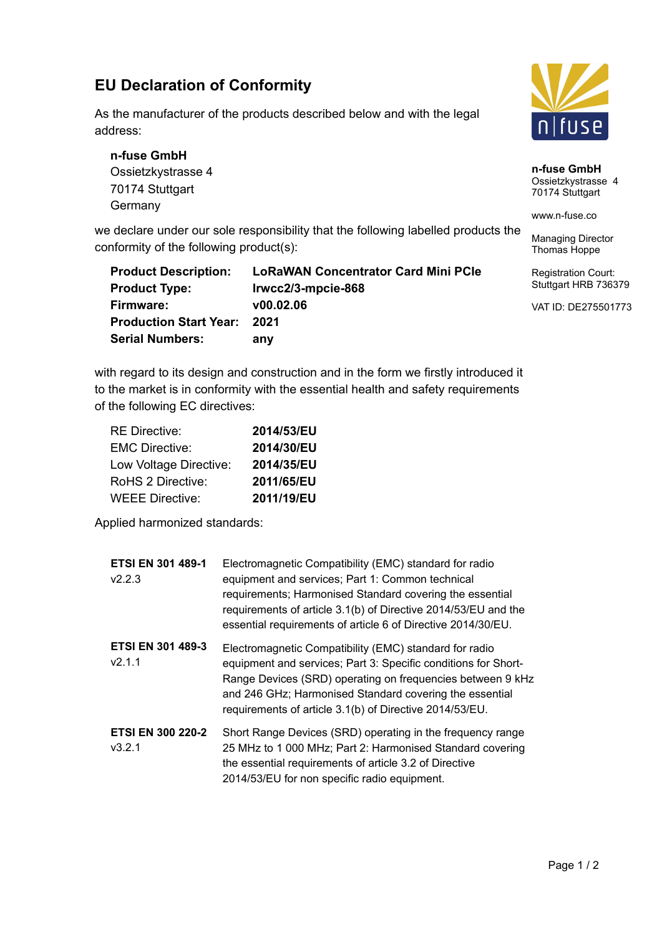## **EU Declaration of Conformity**

As the manufacturer of the products described below and with the legal address:

**n-fuse GmbH** Ossietzkystrasse 4 70174 Stuttgart **Germany** 

we declare under our sole responsibility that the following labelled products the conformity of the following product(s):

| <b>Product Description:</b>   | <b>LoRaWAN Concentrator Card Mini PCIe</b> |
|-------------------------------|--------------------------------------------|
| <b>Product Type:</b>          | Irwcc2/3-mpcie-868                         |
| Firmware:                     | V00.02.06                                  |
| <b>Production Start Year:</b> | 2021                                       |
| <b>Serial Numbers:</b>        | any                                        |

with regard to its design and construction and in the form we firstly introduced it to the market is in conformity with the essential health and safety requirements of the following EC directives:

| <b>RE Directive:</b>   | 2014/53/EU |
|------------------------|------------|
| <b>EMC Directive:</b>  | 2014/30/EU |
| Low Voltage Directive: | 2014/35/EU |
| RoHS 2 Directive:      | 2011/65/EU |
| <b>WEEE Directive:</b> | 2011/19/EU |

Applied harmonized standards:

| <b>ETSI EN 301 489-1</b><br>V2.2.3 | Electromagnetic Compatibility (EMC) standard for radio<br>equipment and services; Part 1: Common technical<br>requirements; Harmonised Standard covering the essential<br>requirements of article 3.1(b) of Directive 2014/53/EU and the<br>essential requirements of article 6 of Directive 2014/30/EU.     |
|------------------------------------|--------------------------------------------------------------------------------------------------------------------------------------------------------------------------------------------------------------------------------------------------------------------------------------------------------------|
| <b>ETSI EN 301 489-3</b><br>V2.1.1 | Electromagnetic Compatibility (EMC) standard for radio<br>equipment and services; Part 3: Specific conditions for Short-<br>Range Devices (SRD) operating on frequencies between 9 kHz<br>and 246 GHz; Harmonised Standard covering the essential<br>requirements of article 3.1(b) of Directive 2014/53/EU. |
| <b>ETSI EN 300 220-2</b><br>V3.2.1 | Short Range Devices (SRD) operating in the frequency range<br>25 MHz to 1 000 MHz; Part 2: Harmonised Standard covering<br>the essential requirements of article 3.2 of Directive<br>2014/53/EU for non specific radio equipment.                                                                            |



**n-fuse GmbH** Ossietzkystrasse 4 70174 Stuttgart

www.n-fuse.co

Managing Director Thomas Hoppe

Registration Court: Stuttgart HRB 736379

VAT ID: DE275501773